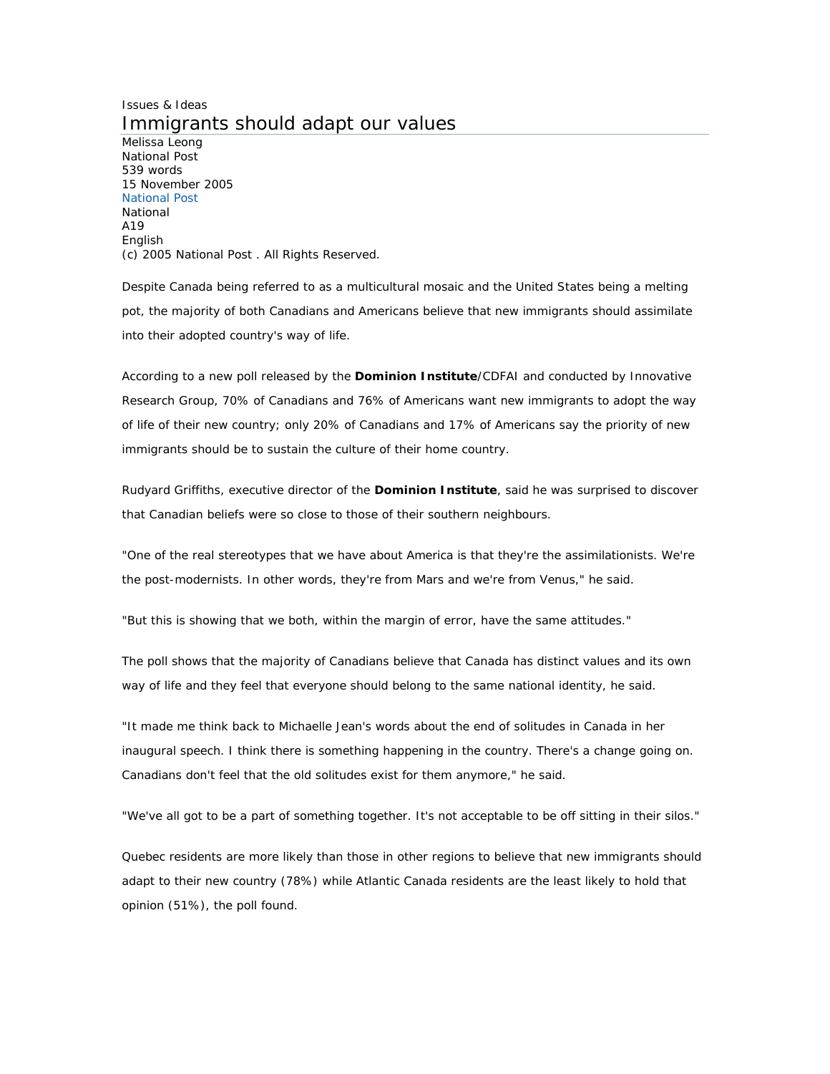## Issues & Ideas Immigrants should adapt our values

Melissa Leong National Post 539 words 15 November 2005 National Post National A19 English (c) 2005 National Post . All Rights Reserved.

Despite Canada being referred to as a multicultural mosaic and the United States being a melting pot, the majority of both Canadians and Americans believe that new immigrants should assimilate into their adopted country's way of life.

According to a new poll released by the **Dominion Institute**/CDFAI and conducted by Innovative Research Group, 70% of Canadians and 76% of Americans want new immigrants to adopt the way of life of their new country; only 20% of Canadians and 17% of Americans say the priority of new immigrants should be to sustain the culture of their home country.

Rudyard Griffiths, executive director of the **Dominion Institute**, said he was surprised to discover that Canadian beliefs were so close to those of their southern neighbours.

"One of the real stereotypes that we have about America is that they're the assimilationists. We're the post-modernists. In other words, they're from Mars and we're from Venus," he said.

"But this is showing that we both, within the margin of error, have the same attitudes."

The poll shows that the majority of Canadians believe that Canada has distinct values and its own way of life and they feel that everyone should belong to the same national identity, he said.

"It made me think back to Michaelle Jean's words about the end of solitudes in Canada in her inaugural speech. I think there is something happening in the country. There's a change going on. Canadians don't feel that the old solitudes exist for them anymore," he said.

"We've all got to be a part of something together. It's not acceptable to be off sitting in their silos."

Quebec residents are more likely than those in other regions to believe that new immigrants should adapt to their new country (78%) while Atlantic Canada residents are the least likely to hold that opinion (51%), the poll found.